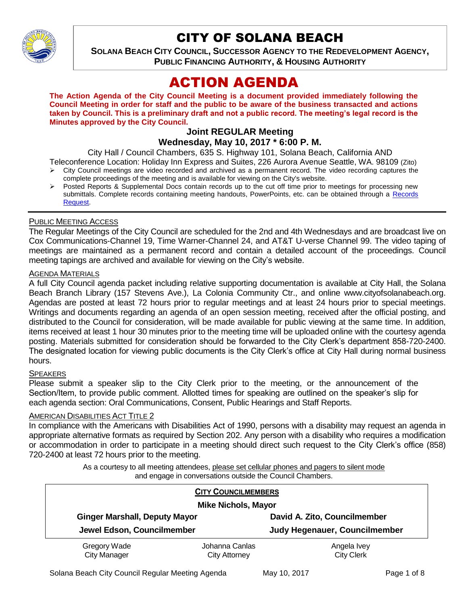

# CITY OF SOLANA BEACH

**SOLANA BEACH CITY COUNCIL, SUCCESSOR AGENCY TO THE REDEVELOPMENT AGENCY, PUBLIC FINANCING AUTHORITY, & HOUSING AUTHORITY** 

# ACTION AGENDA

**The Action Agenda of the City Council Meeting is a document provided immediately following the Council Meeting in order for staff and the public to be aware of the business transacted and actions taken by Council. This is a preliminary draft and not a public record. The meeting's legal record is the Minutes approved by the City Council.**

## **Joint REGULAR Meeting Wednesday, May 10, 2017 \* 6:00 P. M.**

City Hall / Council Chambers, 635 S. Highway 101, Solana Beach, California AND

Teleconference Location: Holiday Inn Express and Suites, 226 Aurora Avenue Seattle, WA. 98109 (Zito)  $\triangleright$  City Council meetings are video recorded and archived as a permanent record. The video recording captures the

- complete proceedings of the meeting and is available for viewing on the City's website.
- Posted Reports & Supplemental Docs contain records up to the cut off time prior to meetings for processing new submittals. Complete records containing meeting handouts, PowerPoints, etc. can be obtained through a Records [Request.](http://www.ci.solana-beach.ca.us/index.asp?SEC=F5D45D10-70CE-4291-A27C-7BD633FC6742&Type=B_BASIC)

# PUBLIC MEETING ACCESS

The Regular Meetings of the City Council are scheduled for the 2nd and 4th Wednesdays and are broadcast live on Cox Communications-Channel 19, Time Warner-Channel 24, and AT&T U-verse Channel 99. The video taping of meetings are maintained as a permanent record and contain a detailed account of the proceedings. Council meeting tapings are archived and available for viewing on the City's website.

## **AGENDA MATERIALS**

A full City Council agenda packet including relative supporting documentation is available at City Hall, the Solana Beach Branch Library (157 Stevens Ave.), La Colonia Community Ctr., and online www.cityofsolanabeach.org. Agendas are posted at least 72 hours prior to regular meetings and at least 24 hours prior to special meetings. Writings and documents regarding an agenda of an open session meeting, received after the official posting, and distributed to the Council for consideration, will be made available for public viewing at the same time. In addition, items received at least 1 hour 30 minutes prior to the meeting time will be uploaded online with the courtesy agenda posting. Materials submitted for consideration should be forwarded to the City Clerk's department 858-720-2400. The designated location for viewing public documents is the City Clerk's office at City Hall during normal business hours.

## **SPEAKERS**

Please submit a speaker slip to the City Clerk prior to the meeting, or the announcement of the Section/Item, to provide public comment. Allotted times for speaking are outlined on the speaker's slip for each agenda section: Oral Communications, Consent, Public Hearings and Staff Reports.

## **AMERICAN DISABILITIES ACT TITLE 2**

In compliance with the Americans with Disabilities Act of 1990, persons with a disability may request an agenda in appropriate alternative formats as required by Section 202. Any person with a disability who requires a modification or accommodation in order to participate in a meeting should direct such request to the City Clerk's office (858) 720-2400 at least 72 hours prior to the meeting.

> As a courtesy to all meeting attendees, please set cellular phones and pagers to silent mode and engage in conversations outside the Council Chambers.

|                                                                    | <b>CITY COUNCILMEMBERS</b> |                               |  |
|--------------------------------------------------------------------|----------------------------|-------------------------------|--|
| <b>Mike Nichols, Mayor</b>                                         |                            |                               |  |
| <b>Ginger Marshall, Deputy Mayor</b><br>Jewel Edson, Councilmember |                            | David A. Zito, Councilmember  |  |
|                                                                    |                            | Judy Hegenauer, Councilmember |  |
| Gregory Wade                                                       | Johanna Canlas             | Angela Ivey                   |  |
| <b>City Manager</b>                                                | <b>City Attorney</b>       | <b>City Clerk</b>             |  |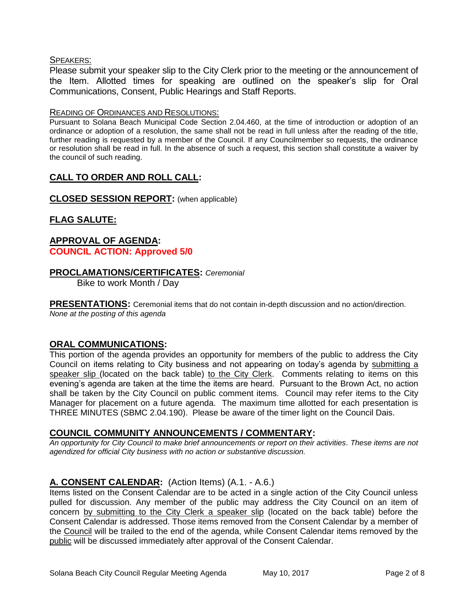# SPEAKERS:

Please submit your speaker slip to the City Clerk prior to the meeting or the announcement of the Item. Allotted times for speaking are outlined on the speaker's slip for Oral Communications, Consent, Public Hearings and Staff Reports.

## READING OF ORDINANCES AND RESOLUTIONS:

Pursuant to Solana Beach Municipal Code Section 2.04.460, at the time of introduction or adoption of an ordinance or adoption of a resolution, the same shall not be read in full unless after the reading of the title, further reading is requested by a member of the Council. If any Councilmember so requests, the ordinance or resolution shall be read in full. In the absence of such a request, this section shall constitute a waiver by the council of such reading.

# **CALL TO ORDER AND ROLL CALL:**

# **CLOSED SESSION REPORT:** (when applicable)

# **FLAG SALUTE:**

# **APPROVAL OF AGENDA: COUNCIL ACTION: Approved 5/0**

# **PROCLAMATIONS/CERTIFICATES:** *Ceremonial*

Bike to work Month / Day

**PRESENTATIONS:** Ceremonial items that do not contain in-depth discussion and no action/direction. *None at the posting of this agenda*

## **ORAL COMMUNICATIONS:**

This portion of the agenda provides an opportunity for members of the public to address the City Council on items relating to City business and not appearing on today's agenda by submitting a speaker slip (located on the back table) to the City Clerk. Comments relating to items on this evening's agenda are taken at the time the items are heard. Pursuant to the Brown Act, no action shall be taken by the City Council on public comment items. Council may refer items to the City Manager for placement on a future agenda. The maximum time allotted for each presentation is THREE MINUTES (SBMC 2.04.190). Please be aware of the timer light on the Council Dais.

## **COUNCIL COMMUNITY ANNOUNCEMENTS / COMMENTARY:**

*An opportunity for City Council to make brief announcements or report on their activities. These items are not agendized for official City business with no action or substantive discussion.* 

# **A. CONSENT CALENDAR:** (Action Items) (A.1. - A.6.)

Items listed on the Consent Calendar are to be acted in a single action of the City Council unless pulled for discussion. Any member of the public may address the City Council on an item of concern by submitting to the City Clerk a speaker slip (located on the back table) before the Consent Calendar is addressed. Those items removed from the Consent Calendar by a member of the Council will be trailed to the end of the agenda, while Consent Calendar items removed by the public will be discussed immediately after approval of the Consent Calendar.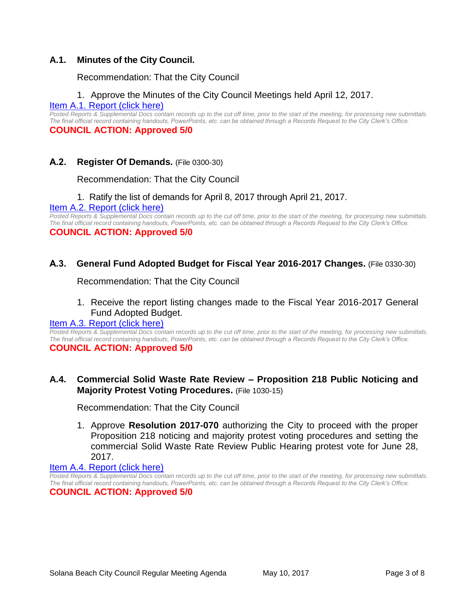# **A.1. Minutes of the City Council.**

Recommendation: That the City Council

# 1. Approve the Minutes of the City Council Meetings held April 12, 2017.

[Item A.1. Report \(click here\)](https://solanabeach.govoffice3.com/vertical/Sites/%7B840804C2-F869-4904-9AE3-720581350CE7%7D/uploads/Item_A.1._Report_(click_here)_5-10-17.pdf) 

*Posted Reports & Supplemental Docs contain records up to the cut off time, prior to the start of the meeting, for processing new submittals. The final official record containing handouts, PowerPoints, etc. can be obtained through a Records Request to the City Clerk's Office.* **COUNCIL ACTION: Approved 5/0**

# **A.2. Register Of Demands.** (File 0300-30)

Recommendation: That the City Council

# 1. Ratify the list of demands for April 8, 2017 through April 21, 2017.

[Item A.2. Report \(click here\)](https://solanabeach.govoffice3.com/vertical/Sites/%7B840804C2-F869-4904-9AE3-720581350CE7%7D/uploads/Item_A.2._Report_(click_here)_5-10-17.pdf)

*Posted Reports & Supplemental Docs contain records up to the cut off time, prior to the start of the meeting, for processing new submittals. The final official record containing handouts, PowerPoints, etc. can be obtained through a Records Request to the City Clerk's Office.* **COUNCIL ACTION: Approved 5/0**

# **A.3. General Fund Adopted Budget for Fiscal Year 2016-2017 Changes.** (File 0330-30)

Recommendation: That the City Council

# 1. Receive the report listing changes made to the Fiscal Year 2016-2017 General Fund Adopted Budget.

## [Item A.3. Report \(click here\)](https://solanabeach.govoffice3.com/vertical/Sites/%7B840804C2-F869-4904-9AE3-720581350CE7%7D/uploads/Item_A.3._Report_(click_here)_5-10-17.pdf)

*Posted Reports & Supplemental Docs contain records up to the cut off time, prior to the start of the meeting, for processing new submittals. The final official record containing handouts, PowerPoints, etc. can be obtained through a Records Request to the City Clerk's Office.* **COUNCIL ACTION: Approved 5/0**

# **A.4. Commercial Solid Waste Rate Review – Proposition 218 Public Noticing and Majority Protest Voting Procedures.** (File 1030-15)

Recommendation: That the City Council

1. Approve **Resolution 2017-070** authorizing the City to proceed with the proper Proposition 218 noticing and majority protest voting procedures and setting the commercial Solid Waste Rate Review Public Hearing protest vote for June 28, 2017.

## [Item A.4. Report \(click here\)](https://solanabeach.govoffice3.com/vertical/Sites/%7B840804C2-F869-4904-9AE3-720581350CE7%7D/uploads/Item_A.4._Report_(click_here)_5-10-17.pdf)

*Posted Reports & Supplemental Docs contain records up to the cut off time, prior to the start of the meeting, for processing new submittals. The final official record containing handouts, PowerPoints, etc. can be obtained through a Records Request to the City Clerk's Office.* **COUNCIL ACTION: Approved 5/0**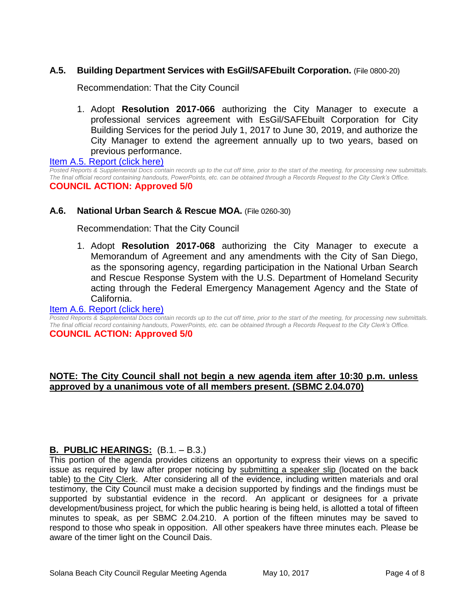# **A.5. Building Department Services with EsGil/SAFEbuilt Corporation.** (File 0800-20)

Recommendation: That the City Council

1. Adopt **Resolution 2017-066** authorizing the City Manager to execute a professional services agreement with EsGil/SAFEbuilt Corporation for City Building Services for the period July 1, 2017 to June 30, 2019, and authorize the City Manager to extend the agreement annually up to two years, based on previous performance.

[Item A.5. Report \(click here\)](https://solanabeach.govoffice3.com/vertical/Sites/%7B840804C2-F869-4904-9AE3-720581350CE7%7D/uploads/Item_A.5._Report_(click_here)_5-10-17.PDF) *Posted Reports & Supplemental Docs contain records up to the cut off time, prior to the start of the meeting, for processing new submittals. The final official record containing handouts, PowerPoints, etc. can be obtained through a Records Request to the City Clerk's Office.*

#### **COUNCIL ACTION: Approved 5/0**

## **A.6. National Urban Search & Rescue MOA.** (File 0260-30)

Recommendation: That the City Council

1. Adopt **Resolution 2017-068** authorizing the City Manager to execute a Memorandum of Agreement and any amendments with the City of San Diego, as the sponsoring agency, regarding participation in the National Urban Search and Rescue Response System with the U.S. Department of Homeland Security acting through the Federal Emergency Management Agency and the State of California.

#### [Item A.6. Report \(click here\)](https://solanabeach.govoffice3.com/vertical/Sites/%7B840804C2-F869-4904-9AE3-720581350CE7%7D/uploads/Item_A.6._Report_(click_here)_5-10-17.PDF)

*Posted Reports & Supplemental Docs contain records up to the cut off time, prior to the start of the meeting, for processing new submittals. The final official record containing handouts, PowerPoints, etc. can be obtained through a Records Request to the City Clerk's Office.* **COUNCIL ACTION: Approved 5/0**

# **NOTE: The City Council shall not begin a new agenda item after 10:30 p.m. unless approved by a unanimous vote of all members present. (SBMC 2.04.070)**

# **B. PUBLIC HEARINGS:** (B.1. – B.3.)

This portion of the agenda provides citizens an opportunity to express their views on a specific issue as required by law after proper noticing by submitting a speaker slip (located on the back table) to the City Clerk. After considering all of the evidence, including written materials and oral testimony, the City Council must make a decision supported by findings and the findings must be supported by substantial evidence in the record. An applicant or designees for a private development/business project, for which the public hearing is being held, is allotted a total of fifteen minutes to speak, as per SBMC 2.04.210. A portion of the fifteen minutes may be saved to respond to those who speak in opposition. All other speakers have three minutes each. Please be aware of the timer light on the Council Dais.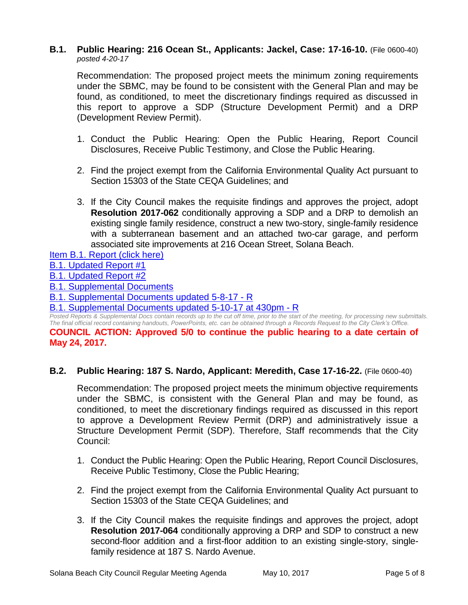#### **B.1. Public Hearing: 216 Ocean St., Applicants: Jackel, Case: 17-16-10.** (File 0600-40) *posted 4-20-17*

Recommendation: The proposed project meets the minimum zoning requirements under the SBMC, may be found to be consistent with the General Plan and may be found, as conditioned, to meet the discretionary findings required as discussed in this report to approve a SDP (Structure Development Permit) and a DRP (Development Review Permit).

- 1. Conduct the Public Hearing: Open the Public Hearing, Report Council Disclosures, Receive Public Testimony, and Close the Public Hearing.
- 2. Find the project exempt from the California Environmental Quality Act pursuant to Section 15303 of the State CEQA Guidelines; and
- 3. If the City Council makes the requisite findings and approves the project, adopt **Resolution 2017-062** conditionally approving a SDP and a DRP to demolish an existing single family residence, construct a new two-story, single-family residence with a subterranean basement and an attached two-car garage, and perform associated site improvements at 216 Ocean Street, Solana Beach.

# [Item B.1. Report \(click here\)](https://solanabeach.govoffice3.com/vertical/Sites/%7B840804C2-F869-4904-9AE3-720581350CE7%7D/uploads/Item_B.1._Report_(click_here)_5-10-2017_-_R.pdf)

[B.1. Updated Report #1](https://solanabeach.govoffice3.com/vertical/Sites/%7B840804C2-F869-4904-9AE3-720581350CE7%7D/uploads/B.1._Updated_Report__1_-_5-10-17.pdf)

[B.1. Updated Report #2](https://solanabeach.govoffice3.com/vertical/Sites/%7B840804C2-F869-4904-9AE3-720581350CE7%7D/uploads/B.1._Updated_Report__2_-_5-10-17.pdf)

[B.1. Supplemental Documents](https://solanabeach.govoffice3.com/vertical/Sites/%7B840804C2-F869-4904-9AE3-720581350CE7%7D/uploads/B.1._Supplemental_Documents_-_5-2-17_.pdf)

[B.1. Supplemental Documents updated 5-8-17 -](https://solanabeach.govoffice3.com/vertical/Sites/%7B840804C2-F869-4904-9AE3-720581350CE7%7D/uploads/B.1._Supplemental_Documents_5-8-17_-_R_.pdf) R

[B.1. Supplemental Documents updated 5-10-17](https://solanabeach.govoffice3.com/vertical/Sites/%7B840804C2-F869-4904-9AE3-720581350CE7%7D/uploads/B.1._Supplemental_Documents_updated_5-10-17_at_430pm_-_R_.pdf) at 430pm - R

*Posted Reports & Supplemental Docs contain records up to the cut off time, prior to the start of the meeting, for processing new submittals. The final official record containing handouts, PowerPoints, etc. can be obtained through a Records Request to the City Clerk's Office.* **COUNCIL ACTION: Approved 5/0 to continue the public hearing to a date certain of May 24, 2017.**

# **B.2. Public Hearing: 187 S. Nardo, Applicant: Meredith, Case 17-16-22.** (File 0600-40)

Recommendation: The proposed project meets the minimum objective requirements under the SBMC, is consistent with the General Plan and may be found, as conditioned, to meet the discretionary findings required as discussed in this report to approve a Development Review Permit (DRP) and administratively issue a Structure Development Permit (SDP). Therefore, Staff recommends that the City Council:

- 1. Conduct the Public Hearing: Open the Public Hearing, Report Council Disclosures, Receive Public Testimony, Close the Public Hearing;
- 2. Find the project exempt from the California Environmental Quality Act pursuant to Section 15303 of the State CEQA Guidelines; and
- 3. If the City Council makes the requisite findings and approves the project, adopt **Resolution 2017-064** conditionally approving a DRP and SDP to construct a new second-floor addition and a first-floor addition to an existing single-story, singlefamily residence at 187 S. Nardo Avenue.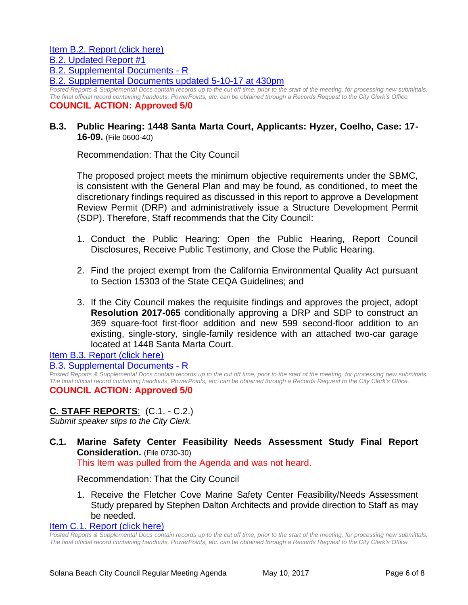[B.2. Supplemental Documents -](https://solanabeach.govoffice3.com/vertical/Sites/%7B840804C2-F869-4904-9AE3-720581350CE7%7D/uploads/B.2._Supplemental_Documents_updated_5-9_at_230pm_-_R.pdf) R

[B.2. Supplemental Documents updated 5-10-17 at 430pm](https://solanabeach.govoffice3.com/vertical/Sites/%7B840804C2-F869-4904-9AE3-720581350CE7%7D/uploads/B.2._Supplemental_Documents_5-10-17_(4300pm)_-_R.pdf)

*Posted Reports & Supplemental Docs contain records up to the cut off time, prior to the start of the meeting, for processing new submittals. The final official record containing handouts, PowerPoints, etc. can be obtained through a Records Request to the City Clerk's Office.* **COUNCIL ACTION: Approved 5/0**

# **B.3. Public Hearing: 1448 Santa Marta Court, Applicants: Hyzer, Coelho, Case: 17- 16-09.** (File 0600-40)

Recommendation: That the City Council

The proposed project meets the minimum objective requirements under the SBMC, is consistent with the General Plan and may be found, as conditioned, to meet the discretionary findings required as discussed in this report to approve a Development Review Permit (DRP) and administratively issue a Structure Development Permit (SDP). Therefore, Staff recommends that the City Council:

- 1. Conduct the Public Hearing: Open the Public Hearing, Report Council Disclosures, Receive Public Testimony, and Close the Public Hearing.
- 2. Find the project exempt from the California Environmental Quality Act pursuant to Section 15303 of the State CEQA Guidelines; and
- 3. If the City Council makes the requisite findings and approves the project, adopt **Resolution 2017-065** conditionally approving a DRP and SDP to construct an 369 square-foot first-floor addition and new 599 second-floor addition to an existing, single-story, single-family residence with an attached two-car garage located at 1448 Santa Marta Court.

# [Item B.3. Report \(click here\)](https://solanabeach.govoffice3.com/vertical/Sites/%7B840804C2-F869-4904-9AE3-720581350CE7%7D/uploads/Item_B.3._Report_(click_here)_5-10-17.PDF)

## [B.3. Supplemental Documents -](https://solanabeach.govoffice3.com/vertical/Sites/%7B840804C2-F869-4904-9AE3-720581350CE7%7D/uploads/B.3._Supplemental_Documents_5-10-17.pdf) R

*Posted Reports & Supplemental Docs contain records up to the cut off time, prior to the start of the meeting, for processing new submittals. The final official record containing handouts, PowerPoints, etc. can be obtained through a Records Request to the City Clerk's Office.*

# **COUNCIL ACTION: Approved 5/0**

# **C. STAFF REPORTS**: (C.1. - C.2.)

*Submit speaker slips to the City Clerk.*

**C.1. Marine Safety Center Feasibility Needs Assessment Study Final Report Consideration.** (File 0730-30) This Item was pulled from the Agenda and was not heard.

Recommendation: That the City Council

1. Receive the Fletcher Cove Marine Safety Center Feasibility/Needs Assessment Study prepared by Stephen Dalton Architects and provide direction to Staff as may be needed.

[Item C.1. Report \(click here\)](https://solanabeach.govoffice3.com/vertical/Sites/%7B840804C2-F869-4904-9AE3-720581350CE7%7D/uploads/Item_C.1._Report_(click_here)_5-10-17.PDF)

*Posted Reports & Supplemental Docs contain records up to the cut off time, prior to the start of the meeting, for processing new submittals. The final official record containing handouts, PowerPoints, etc. can be obtained through a Records Request to the City Clerk's Office.*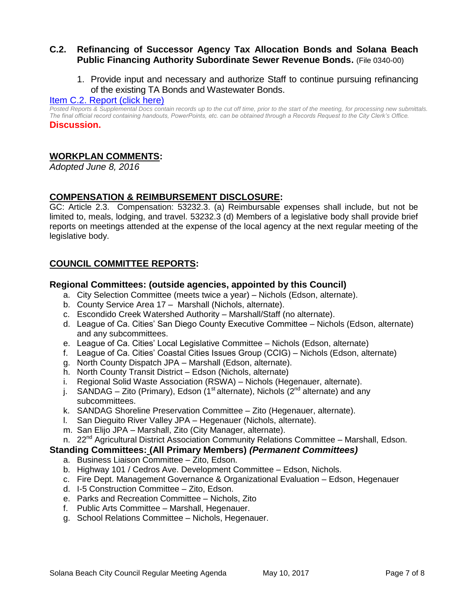# **C.2. Refinancing of Successor Agency Tax Allocation Bonds and Solana Beach Public Financing Authority Subordinate Sewer Revenue Bonds.** (File 0340-00)

1. Provide input and necessary and authorize Staff to continue pursuing refinancing of the existing TA Bonds and Wastewater Bonds.

## [Item C.2. Report \(click here\)](https://solanabeach.govoffice3.com/vertical/Sites/%7B840804C2-F869-4904-9AE3-720581350CE7%7D/uploads/Item_C.2._Report_(click_here)_5-10-17.pdf)

*Posted Reports & Supplemental Docs contain records up to the cut off time, prior to the start of the meeting, for processing new submittals. The final official record containing handouts, PowerPoints, etc. can be obtained through a Records Request to the City Clerk's Office.* **Discussion.**

# **WORKPLAN COMMENTS:**

*Adopted June 8, 2016*

# **COMPENSATION & REIMBURSEMENT DISCLOSURE:**

GC: Article 2.3. Compensation: 53232.3. (a) Reimbursable expenses shall include, but not be limited to, meals, lodging, and travel. 53232.3 (d) Members of a legislative body shall provide brief reports on meetings attended at the expense of the local agency at the next regular meeting of the legislative body.

# **COUNCIL COMMITTEE REPORTS:**

#### **Regional Committees: (outside agencies, appointed by this Council)**

- a. City Selection Committee (meets twice a year) Nichols (Edson, alternate).
- b. County Service Area 17 Marshall (Nichols, alternate).
- c. Escondido Creek Watershed Authority Marshall/Staff (no alternate).
- d. League of Ca. Cities' San Diego County Executive Committee Nichols (Edson, alternate) and any subcommittees.
- e. League of Ca. Cities' Local Legislative Committee Nichols (Edson, alternate)
- f. League of Ca. Cities' Coastal Cities Issues Group (CCIG) Nichols (Edson, alternate)
- g. North County Dispatch JPA Marshall (Edson, alternate).
- h. North County Transit District Edson (Nichols, alternate)
- i. Regional Solid Waste Association (RSWA) Nichols (Hegenauer, alternate).
- j. SANDAG Zito (Primary), Edson (1<sup>st</sup> alternate), Nichols ( $2<sup>nd</sup>$  alternate) and any subcommittees.
- k. SANDAG Shoreline Preservation Committee Zito (Hegenauer, alternate).
- l. San Dieguito River Valley JPA Hegenauer (Nichols, alternate).
- m. San Elijo JPA Marshall, Zito (City Manager, alternate).
- n. 22<sup>nd</sup> Agricultural District Association Community Relations Committee Marshall, Edson.

## **Standing Committees: (All Primary Members)** *(Permanent Committees)*

- a. Business Liaison Committee Zito, Edson.
- b. Highway 101 / Cedros Ave. Development Committee Edson, Nichols.
- c. Fire Dept. Management Governance & Organizational Evaluation Edson, Hegenauer
- d. I-5 Construction Committee Zito, Edson.
- e. Parks and Recreation Committee Nichols, Zito
- f. Public Arts Committee Marshall, Hegenauer.
- g. School Relations Committee Nichols, Hegenauer.